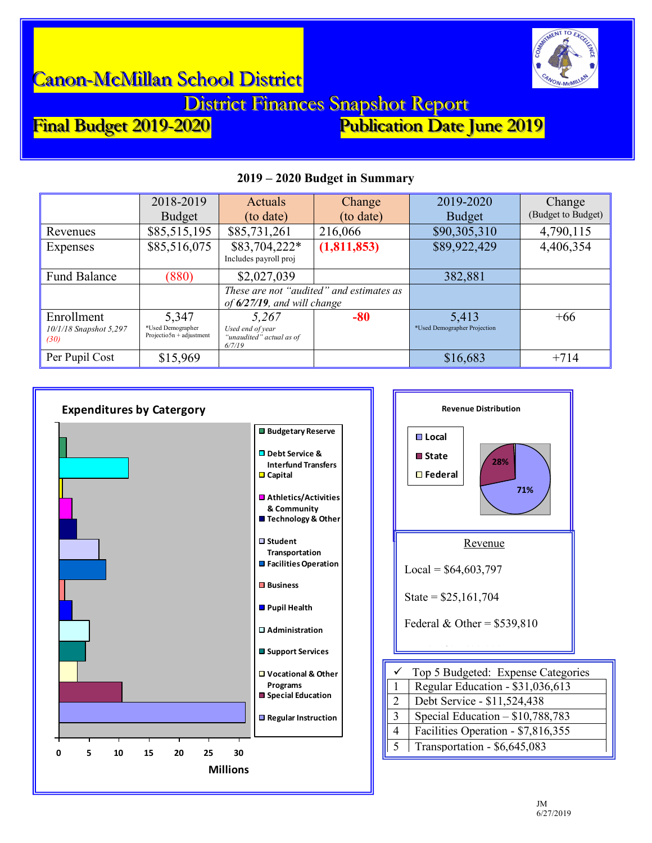

District Finances Snapshot Report<br>Final Budget 2019-2020 Publication Date

Publication Date June 2019

|                                              | 2018-2019<br><b>Budget</b>                              | Actuals<br>(to date)                                            | Change<br>(to date)                      | 2019-2020<br><b>Budget</b>            | Change<br>(Budget to Budget) |
|----------------------------------------------|---------------------------------------------------------|-----------------------------------------------------------------|------------------------------------------|---------------------------------------|------------------------------|
| Revenues                                     | \$85,515,195                                            | \$85,731,261                                                    | 216,066                                  | \$90,305,310                          | 4,790,115                    |
| Expenses                                     | \$85,516,075                                            | \$83,704,222*<br>Includes payroll proj                          | (1,811,853)                              | \$89,922,429                          | 4,406,354                    |
| <b>Fund Balance</b>                          | (880)                                                   | \$2,027,039                                                     |                                          | 382,881                               |                              |
|                                              |                                                         | of $6/27/19$ , and will change                                  | These are not "audited" and estimates as |                                       |                              |
| Enrollment<br>10/1/18 Snapshot 5,297<br>(30) | 5,347<br>*Used Demographer<br>$Projection + adjustment$ | 5,267<br>Used end of year<br>"unaudited" actual as of<br>6/7/19 | $-80$                                    | 5,413<br>*Used Demographer Projection | $+66$                        |
| Per Pupil Cost                               | \$15,969                                                |                                                                 |                                          | \$16,683                              | $+714$                       |

### **2019 – 2020 Budget in Summary**





5 Transportation - \$6,645,083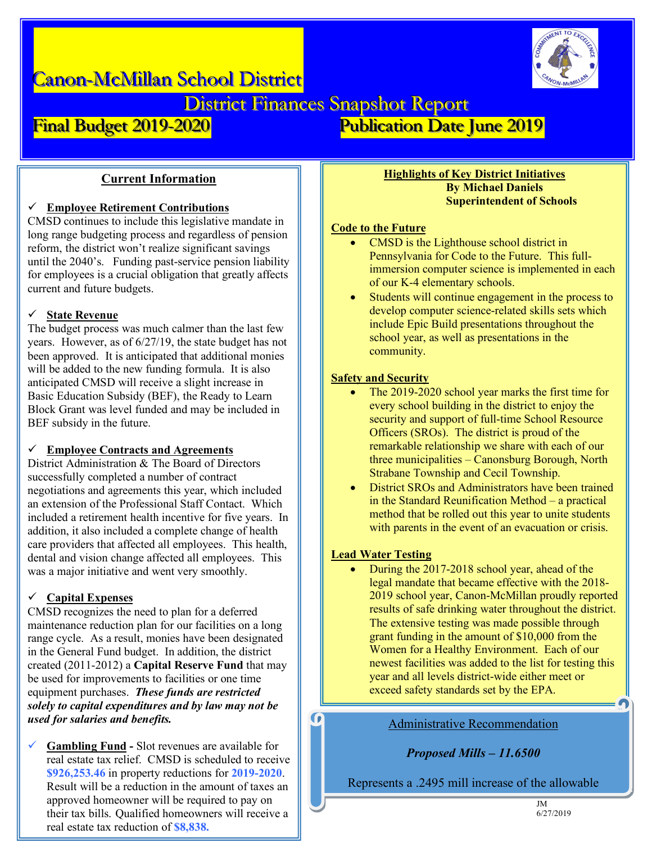District Finances Snapshot Report<br>Final Budget 2019-2020 Publication Date

Publication Date June 2019

# **Current Information**

# ü **Employee Retirement Contributions**

CMSD continues to include this legislative mandate in long range budgeting process and regardless of pension reform, the district won't realize significant savings until the 2040's. Funding past-service pension liability for employees is a crucial obligation that greatly affects current and future budgets.

# **State Revenue**

The budget process was much calmer than the last few years. However, as of 6/27/19, the state budget has not been approved. It is anticipated that additional monies will be added to the new funding formula. It is also anticipated CMSD will receive a slight increase in Basic Education Subsidy (BEF), the Ready to Learn Block Grant was level funded and may be included in BEF subsidy in the future.

### ü **Employee Contracts and Agreements**

District Administration & The Board of Directors successfully completed a number of contract negotiations and agreements this year, which included an extension of the Professional Staff Contact. Which included a retirement health incentive for five years. In addition, it also included a complete change of health care providers that affected all employees. This health, dental and vision change affected all employees. This was a major initiative and went very smoothly.

# ü **Capital Expenses**

CMSD recognizes the need to plan for a deferred maintenance reduction plan for our facilities on a long range cycle. As a result, monies have been designated in the General Fund budget. In addition, the district created (2011-2012) a **Capital Reserve Fund** that may be used for improvements to facilities or one time equipment purchases. *These funds are restricted solely to capital expenditures and by law may not be used for salaries and benefits.*

ü **Gambling Fund -** Slot revenues are available for real estate tax relief. CMSD is scheduled to receive **\$926,253.46** in property reductions for **2019-2020**. Result will be a reduction in the amount of taxes an approved homeowner will be required to pay on their tax bills. Qualified homeowners will receive a real estate tax reduction of **\$8,838.**

### **Highlights of Key District Initiatives By Michael Daniels Superintendent of Schools**

# **Code to the Future**

- CMSD is the Lighthouse school district in Pennsylvania for Code to the Future. This fullimmersion computer science is implemented in each of our K-4 elementary schools.
- Students will continue engagement in the process to develop computer science-related skills sets which include Epic Build presentations throughout the school year, as well as presentations in the community.

# **Safety and Security**

- The 2019-2020 school year marks the first time for every school building in the district to enjoy the security and support of full-time School Resource Officers (SROs). The district is proud of the remarkable relationship we share with each of our three municipalities – Canonsburg Borough, North Strabane Township and Cecil Township.
- District SROs and Administrators have been trained in the Standard Reunification Method – a practical method that be rolled out this year to unite students with parents in the event of an evacuation or crisis.

# **Lead Water Testing**

G

• During the 2017-2018 school year, ahead of the legal mandate that became effective with the 2018- 2019 school year, Canon-McMillan proudly reported results of safe drinking water throughout the district. The extensive testing was made possible through grant funding in the amount of \$10,000 from the Women for a Healthy Environment. Each of our newest facilities was added to the list for testing this year and all levels district-wide either meet or exceed safety standards set by the EPA.

### Administrative Recommendation

*Proposed Mills – 11.6500*

Represents a .2495 mill increase of the allowable .2622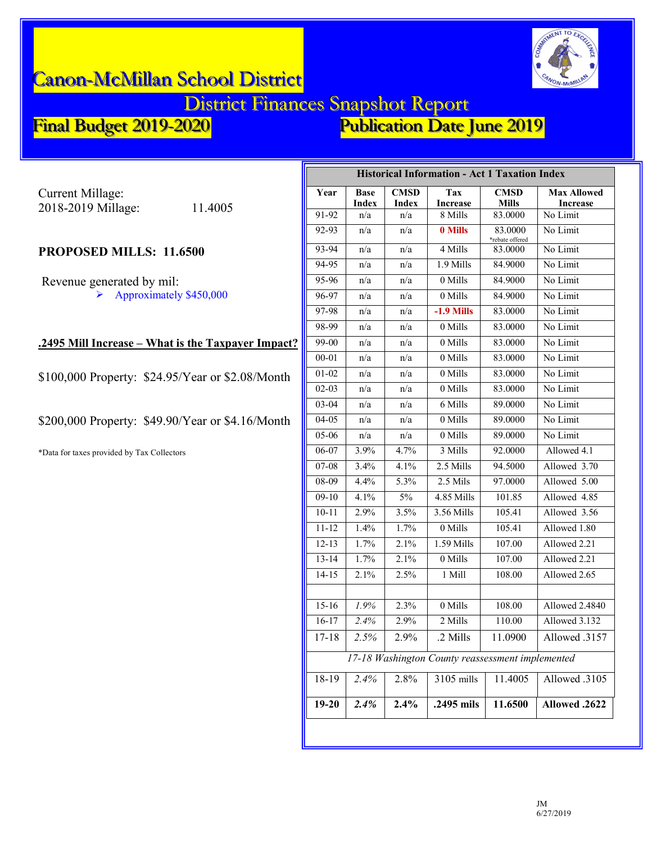

# District Finances Snapshot Report<br>Final Budget 2019-2020 Publication Date

Publication Date June 2019

Current Millage: 2018-2019 Millage: 11.4005

# **PROPOSED MILLS: 11.6500**

Revenue generated by mil:  $\blacktriangleright$  Approximately \$450,000

### **.2495 Mill Increase – What is the Taxpayer Impact?**

\$100,000 Property: \$24.95/Year or \$2.08/Month

\$200,000 Property: \$49.90/Year or \$4.16/Month

\*Data for taxes provided by Tax Collectors

| <b>Historical Information - Act 1 Taxation Index</b> |                             |                             |                        |                             |                                       |  |  |
|------------------------------------------------------|-----------------------------|-----------------------------|------------------------|-----------------------------|---------------------------------------|--|--|
| Year                                                 | <b>Base</b><br><b>Index</b> | <b>CMSD</b><br><b>Index</b> | Tax<br><b>Increase</b> | <b>CMSD</b><br><b>Mills</b> | <b>Max Allowed</b><br><b>Increase</b> |  |  |
| 91-92                                                | n/a                         | n/a                         | 8 Mills                | 83.0000                     | No Limit                              |  |  |
| 92-93                                                | n/a                         | n/a                         | 0 Mills                | 83.0000<br>*rebate offered  | No Limit                              |  |  |
| 93-94                                                | n/a                         | n/a                         | 4 Mills                | 83.0000                     | No Limit                              |  |  |
| 94-95                                                | n/a                         | n/a                         | 1.9 Mills              | 84.9000                     | No Limit                              |  |  |
| 95-96                                                | n/a                         | n/a                         | 0 Mills                | 84.9000                     | No Limit                              |  |  |
| 96-97                                                | n/a                         | n/a                         | 0 Mills                | 84.9000                     | No Limit                              |  |  |
| 97-98                                                | n/a                         | n/a                         | $-1.9$ Mills           | 83.0000                     | No Limit                              |  |  |
| 98-99                                                | n/a                         | n/a                         | 0 Mills                | 83.0000                     | No Limit                              |  |  |
| 99-00                                                | n/a                         | n/a                         | 0 Mills                | 83.0000                     | No Limit                              |  |  |
| $00 - 01$                                            | n/a                         | n/a                         | 0 Mills                | 83.0000                     | No Limit                              |  |  |
| $01 - 02$                                            | n/a                         | n/a                         | 0 Mills                | 83.0000                     | No Limit                              |  |  |
| $02 - 03$                                            | n/a                         | n/a                         | 0 Mills                | 83.0000                     | No Limit                              |  |  |
| 03-04                                                | n/a                         | n/a                         | 6 Mills                | 89.0000                     | No Limit                              |  |  |
| $04 - 05$                                            | n/a                         | n/a                         | 0 Mills                | 89.0000                     | No Limit                              |  |  |
| $05 - 06$                                            | n/a                         | n/a                         | 0 Mills                | 89.0000                     | No Limit                              |  |  |
| 06-07                                                | 3.9%                        | 4.7%                        | 3 Mills                | 92.0000                     | Allowed 4.1                           |  |  |
| $07-08$                                              | 3.4%                        | 4.1%                        | 2.5 Mills              | 94.5000                     | Allowed 3.70                          |  |  |
| 08-09                                                | 4.4%                        | 5.3%                        | 2.5 Mils               | 97.0000                     | Allowed $5.00$                        |  |  |
| $09-10$                                              | 4.1%                        | 5%                          | 4.85 Mills             | 101.85                      | Allowed 4.85                          |  |  |
| $10 - 11$                                            | 2.9%                        | 3.5%                        | 3.56 Mills             | 105.41                      | Allowed 3.56                          |  |  |
| $11 - 12$                                            | 1.4%                        | 1.7%                        | 0 Mills                | 105.41                      | Allowed 1.80                          |  |  |
| $12 - 13$                                            | 1.7%                        | 2.1%                        | 1.59 Mills             | 107.00                      | Allowed 2.21                          |  |  |
| $13 - 14$                                            | 1.7%                        | 2.1%                        | 0 Mills                | 107.00                      | Allowed 2.21                          |  |  |
| $14 - 15$                                            | 2.1%                        | 2.5%                        | 1 Mill                 | 108.00                      | Allowed 2.65                          |  |  |
|                                                      |                             |                             |                        |                             |                                       |  |  |
| $15 - 16$                                            | 1.9%                        | 2.3%                        | 0 Mills                | 108.00                      | Allowed 2.4840                        |  |  |
| $16 - 17$                                            | 2.4%                        | 2.9%                        | 2 Mills                | 110.00                      | Allowed 3.132                         |  |  |
| $17 - 18$                                            | 2.5%                        | 2.9%                        | .2 Mills               | 11.0900                     | Allowed .3157                         |  |  |
| 17-18 Washington County reassessment implemented     |                             |                             |                        |                             |                                       |  |  |
| 18-19                                                | 2.4%                        | 2.8%                        | 3105 mills             | 11.4005                     | Allowed .3105                         |  |  |
| $19 - 20$                                            | 2.4%                        | 2.4%                        | .2495 mils             | 11.6500                     | Allowed .2622                         |  |  |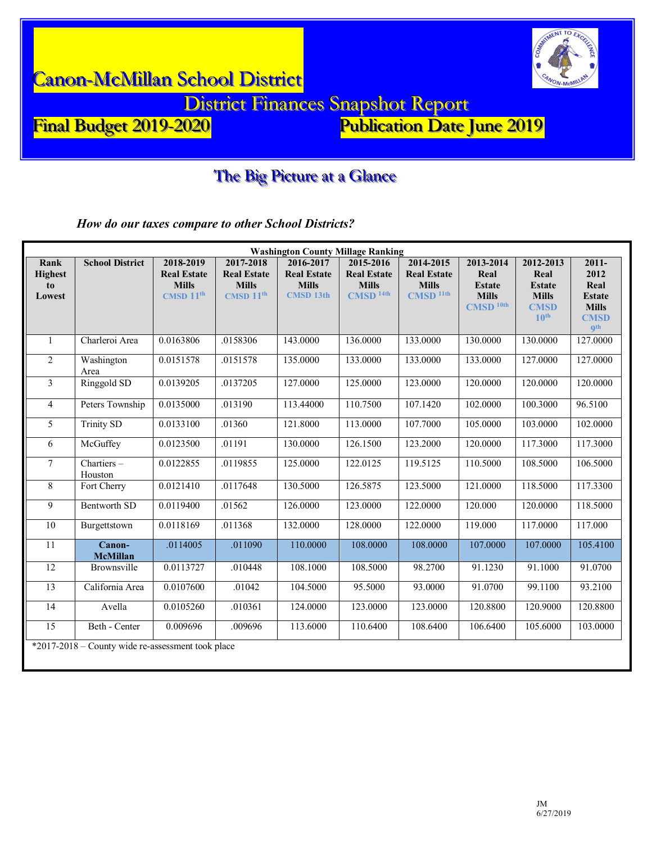

# The Big Picture at a Glance

*How do our taxes compare to other School Districts?*

| <b>Washington County Millage Ranking</b>          |                           |                                                                |                                                                          |                                                                     |                                                                           |                                                                                |                                                                              |                                                                                       |                                                                                        |
|---------------------------------------------------|---------------------------|----------------------------------------------------------------|--------------------------------------------------------------------------|---------------------------------------------------------------------|---------------------------------------------------------------------------|--------------------------------------------------------------------------------|------------------------------------------------------------------------------|---------------------------------------------------------------------------------------|----------------------------------------------------------------------------------------|
| Rank<br><b>Highest</b><br>to<br>Lowest            | <b>School District</b>    | 2018-2019<br><b>Real Estate</b><br><b>Mills</b><br>CMSD $11th$ | 2017-2018<br><b>Real Estate</b><br><b>Mills</b><br>CMSD 11 <sup>th</sup> | 2016-2017<br><b>Real Estate</b><br><b>Mills</b><br><b>CMSD 13th</b> | 2015-2016<br><b>Real Estate</b><br><b>Mills</b><br>$CMSD$ <sup>14th</sup> | 2014-2015<br><b>Real Estate</b><br><b>Mills</b><br><b>CMSD</b> <sup>11th</sup> | 2013-2014<br>Real<br><b>Estate</b><br><b>Mills</b><br>$CMSD$ <sup>10th</sup> | 2012-2013<br>Real<br><b>Estate</b><br><b>Mills</b><br><b>CMSD</b><br>10 <sup>th</sup> | $2011 -$<br>2012<br>Real<br><b>Estate</b><br><b>Mills</b><br><b>CMSD</b><br><b>gth</b> |
| 1                                                 | Charleroi Area            | 0.0163806                                                      | .0158306                                                                 | 143.0000                                                            | 136.0000                                                                  | 133.0000                                                                       | 130.0000                                                                     | 130.0000                                                                              | 127,0000                                                                               |
| $\overline{2}$                                    | Washington<br>Area        | 0.0151578                                                      | .0151578                                                                 | 135.0000                                                            | 133.0000                                                                  | 133.0000                                                                       | 133.0000                                                                     | 127.0000                                                                              | 127.0000                                                                               |
| 3                                                 | Ringgold SD               | 0.0139205                                                      | .0137205                                                                 | 127.0000                                                            | 125.0000                                                                  | 123.0000                                                                       | 120.0000                                                                     | 120.0000                                                                              | 120.0000                                                                               |
| $\overline{4}$                                    | Peters Township           | 0.0135000                                                      | .013190                                                                  | 113.44000                                                           | 110.7500                                                                  | 107.1420                                                                       | 102.0000                                                                     | 100.3000                                                                              | 96.5100                                                                                |
| 5                                                 | <b>Trinity SD</b>         | 0.0133100                                                      | .01360                                                                   | 121.8000                                                            | 113.0000                                                                  | 107.7000                                                                       | 105.0000                                                                     | 103.0000                                                                              | 102.0000                                                                               |
| 6                                                 | McGuffey                  | 0.0123500                                                      | .01191                                                                   | 130.0000                                                            | 126.1500                                                                  | 123.2000                                                                       | 120.0000                                                                     | 117.3000                                                                              | 117.3000                                                                               |
| $\tau$                                            | Chartiers -<br>Houston    | 0.0122855                                                      | .0119855                                                                 | 125.0000                                                            | 122.0125                                                                  | 119.5125                                                                       | 110.5000                                                                     | 108.5000                                                                              | 106.5000                                                                               |
| 8                                                 | Fort Cherry               | 0.0121410                                                      | .0117648                                                                 | 130.5000                                                            | 126.5875                                                                  | 123.5000                                                                       | 121.0000                                                                     | 118.5000                                                                              | 117.3300                                                                               |
| 9                                                 | Bentworth SD              | 0.0119400                                                      | .01562                                                                   | 126.0000                                                            | 123.0000                                                                  | 122.0000                                                                       | 120.000                                                                      | 120.0000                                                                              | 118.5000                                                                               |
| 10                                                | Burgettstown              | 0.0118169                                                      | .011368                                                                  | 132.0000                                                            | 128.0000                                                                  | 122.0000                                                                       | 119.000                                                                      | 117.0000                                                                              | 117.000                                                                                |
| 11                                                | Canon-<br><b>McMillan</b> | .0114005                                                       | .011090                                                                  | 110.0000                                                            | 108.0000                                                                  | 108.0000                                                                       | 107.0000                                                                     | 107.0000                                                                              | 105.4100                                                                               |
| $\overline{12}$                                   | Brownsville               | 0.0113727                                                      | .010448                                                                  | 108.1000                                                            | 108.5000                                                                  | 98.2700                                                                        | 91.1230                                                                      | 91.1000                                                                               | 91.0700                                                                                |
| 13                                                | California Area           | 0.0107600                                                      | .01042                                                                   | 104.5000                                                            | 95.5000                                                                   | 93.0000                                                                        | 91.0700                                                                      | 99.1100                                                                               | 93.2100                                                                                |
| 14                                                | Avella                    | 0.0105260                                                      | .010361                                                                  | 124.0000                                                            | 123.0000                                                                  | 123.0000                                                                       | 120.8800                                                                     | 120.9000                                                                              | 120.8800                                                                               |
| 15                                                | Beth - Center             | 0.009696                                                       | .009696                                                                  | 113.6000                                                            | 110.6400                                                                  | 108.6400                                                                       | 106.6400                                                                     | 105.6000                                                                              | 103.0000                                                                               |
| *2017-2018 - County wide re-assessment took place |                           |                                                                |                                                                          |                                                                     |                                                                           |                                                                                |                                                                              |                                                                                       |                                                                                        |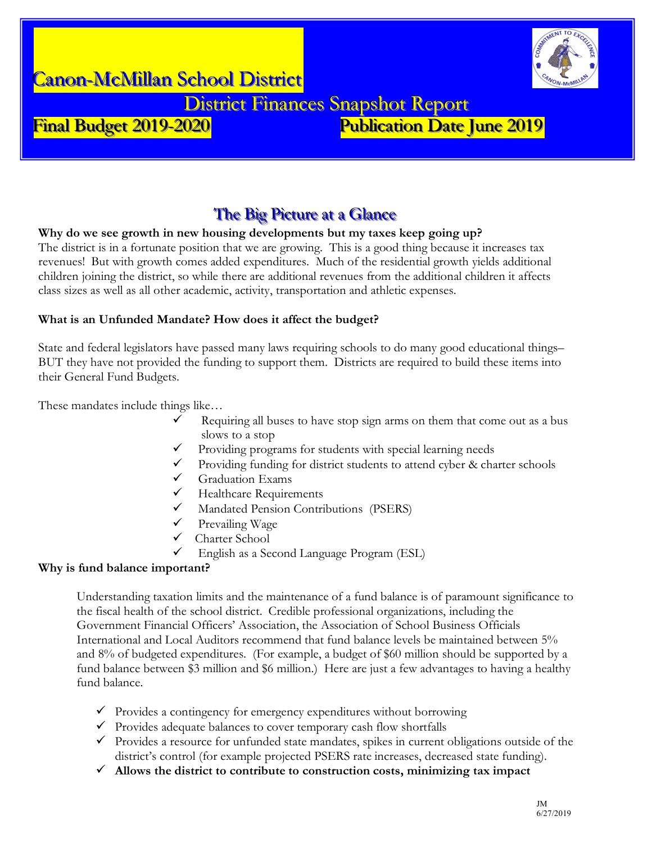

District Finances Snapshot Report<br>Final Budget 2019-2020

# Publication Date June 2019

# The Big Picture at a Glance

### **Why do we see growth in new housing developments but my taxes keep going up?**

The district is in a fortunate position that we are growing. This is a good thing because it increases tax revenues! But with growth comes added expenditures. Much of the residential growth yields additional children joining the district, so while there are additional revenues from the additional children it affects class sizes as well as all other academic, activity, transportation and athletic expenses.

### **What is an Unfunded Mandate? How does it affect the budget?**

State and federal legislators have passed many laws requiring schools to do many good educational things– BUT they have not provided the funding to support them. Districts are required to build these items into their General Fund Budgets.

These mandates include things like…

- Requiring all buses to have stop sign arms on them that come out as a bus slows to a stop
- $\checkmark$  Providing programs for students with special learning needs
- Providing funding for district students to attend cyber & charter schools
- $\checkmark$  Graduation Exams
- $\checkmark$  Healthcare Requirements
- $\checkmark$  Mandated Pension Contributions (PSERS)<br> $\checkmark$  Prevailing Wage
- Prevailing Wage
- $\checkmark$  Charter School
- $\checkmark$  English as a Second Language Program (ESL)

### **Why is fund balance important?**

Understanding taxation limits and the maintenance of a fund balance is of paramount significance to the fiscal health of the school district. Credible professional organizations, including the Government Financial Officers' Association, the Association of School Business Officials International and Local Auditors recommend that fund balance levels be maintained between 5% and 8% of budgeted expenditures. (For example, a budget of \$60 million should be supported by a fund balance between \$3 million and \$6 million.) Here are just a few advantages to having a healthy fund balance.

- $\checkmark$  Provides a contingency for emergency expenditures without borrowing
- $\checkmark$  Provides adequate balances to cover temporary cash flow shortfalls
- $\checkmark$  Provides a resource for unfunded state mandates, spikes in current obligations outside of the district's control (for example projected PSERS rate increases, decreased state funding).
- ü **Allows the district to contribute to construction costs, minimizing tax impact**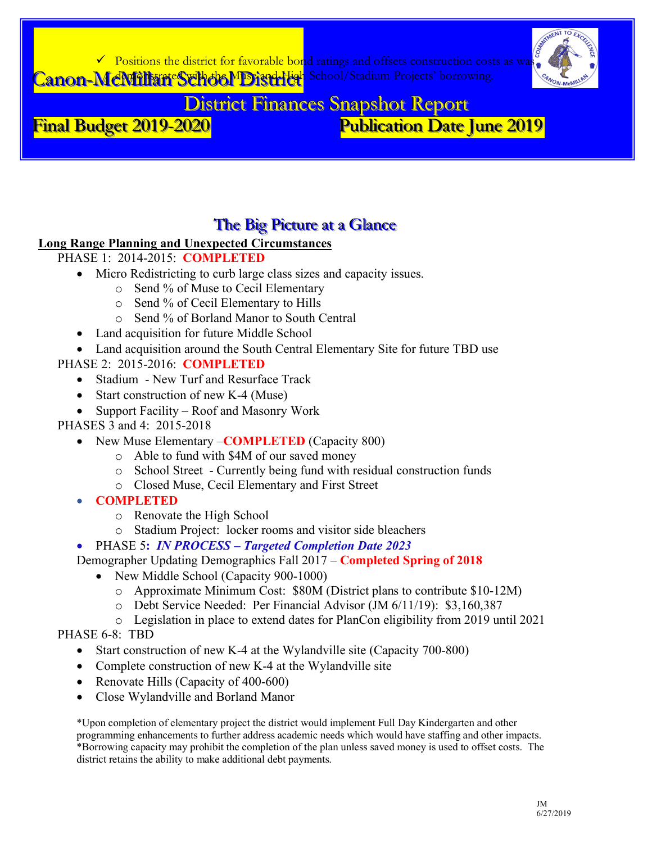



**District Finances Snapshot Report Publication Date June 2019** Final Budget 2019-2020

# The Big Picture at a Glance

# **Long Range Planning and Unexpected Circumstances**

- PHASE 1: 2014-2015: COMPLETED
	- Micro Redistricting to curb large class sizes and capacity issues.
		- Send % of Muse to Cecil Elementary
		- o Send % of Cecil Elementary to Hills
		- Send % of Borland Manor to South Central
	- Land acquisition for future Middle School
	- Land acquisition around the South Central Elementary Site for future TBD use
- PHASE 2: 2015-2016: COMPLETED
	- Stadium New Turf and Resurface Track
	- Start construction of new K-4 (Muse)
	- Support Facility Roof and Masonry Work
- PHASES 3 and 4: 2015-2018
	- New Muse Elementary **COMPLETED** (Capacity 800)
		- o Able to fund with \$4M of our saved money
		- o School Street Currently being fund with residual construction funds
		- o Closed Muse, Cecil Elementary and First Street
	- **COMPLETED** 
		- o Renovate the High School
		- o Stadium Project: locker rooms and visitor side bleachers
	- PHASE 5: IN PROCESS Targeted Completion Date 2023
	- Demographer Updating Demographics Fall 2017 Completed Spring of 2018
		- New Middle School (Capacity 900-1000)
			- o Approximate Minimum Cost: \$80M (District plans to contribute \$10-12M)
			- o Debt Service Needed: Per Financial Advisor (JM 6/11/19): \$3,160,387
			- o Legislation in place to extend dates for PlanCon eligibility from 2019 until 2021

# PHASE 6-8: TBD

- Start construction of new K-4 at the Wylandville site (Capacity 700-800)
- Complete construction of new K-4 at the Wylandville site
- Renovate Hills (Capacity of 400-600)
- Close Wylandville and Borland Manor

\*Upon completion of elementary project the district would implement Full Day Kindergarten and other programming enhancements to further address academic needs which would have staffing and other impacts. \*Borrowing capacity may prohibit the completion of the plan unless saved money is used to offset costs. The district retains the ability to make additional debt payments.